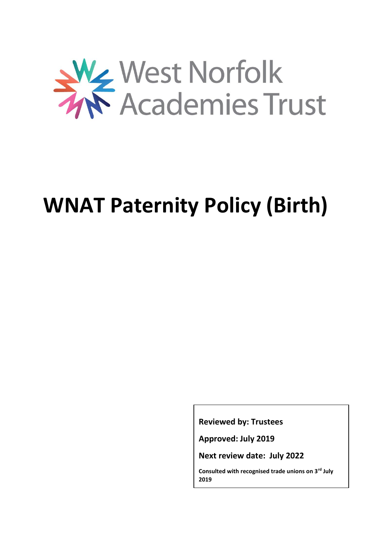

# **WNAT Paternity Policy (Birth)**

**Reviewed by: Trustees**

**Approved: July 2019**

**Next review date: July 2022**

**Consulted with recognised trade unions on 3rd July 2019**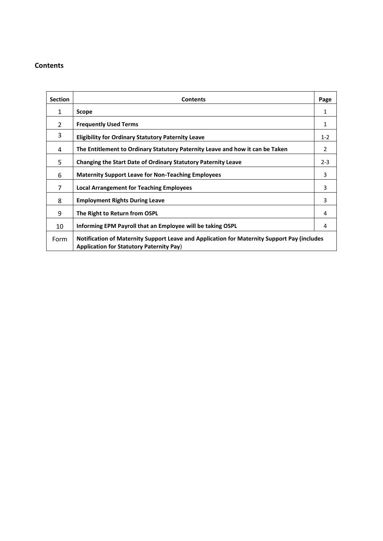#### **Contents**

| <b>Section</b> | <b>Contents</b>                                                                                                                                | Page           |
|----------------|------------------------------------------------------------------------------------------------------------------------------------------------|----------------|
| 1              | Scope                                                                                                                                          | 1              |
| $\overline{2}$ | <b>Frequently Used Terms</b>                                                                                                                   | 1              |
| 3              | <b>Eligibility for Ordinary Statutory Paternity Leave</b>                                                                                      | $1-2$          |
| 4              | The Entitlement to Ordinary Statutory Paternity Leave and how it can be Taken                                                                  | $\overline{2}$ |
| 5              | Changing the Start Date of Ordinary Statutory Paternity Leave                                                                                  | $2 - 3$        |
| 6              | <b>Maternity Support Leave for Non-Teaching Employees</b>                                                                                      | 3              |
| 7              | <b>Local Arrangement for Teaching Employees</b>                                                                                                | 3              |
| 8              | <b>Employment Rights During Leave</b>                                                                                                          | 3              |
| 9              | The Right to Return from OSPL                                                                                                                  | 4              |
| 10             | Informing EPM Payroll that an Employee will be taking OSPL                                                                                     | 4              |
| Form           | Notification of Maternity Support Leave and Application for Maternity Support Pay (includes<br><b>Application for Statutory Paternity Pay)</b> |                |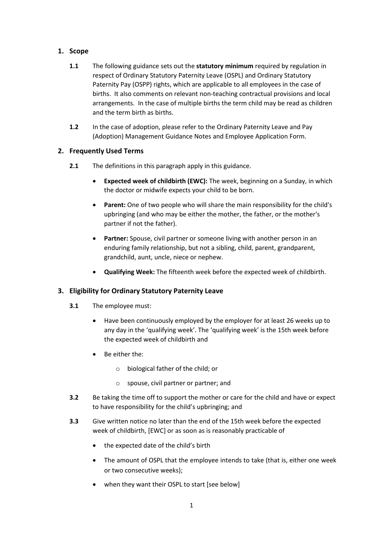## **1. Scope**

- **1.1** The following guidance sets out the **statutory minimum** required by regulation in respect of Ordinary Statutory Paternity Leave (OSPL) and Ordinary Statutory Paternity Pay (OSPP) rights, which are applicable to all employees in the case of births. It also comments on relevant non-teaching contractual provisions and local arrangements. In the case of multiple births the term child may be read as children and the term birth as births.
- **1.2** In the case of adoption, please refer to the Ordinary Paternity Leave and Pay (Adoption) Management Guidance Notes and Employee Application Form.

## **2. Frequently Used Terms**

- **2.1** The definitions in this paragraph apply in this guidance.
	- **Expected week of childbirth (EWC):** The week, beginning on a Sunday, in which the doctor or midwife expects your child to be born.
	- **Parent:** One of two people who will share the main responsibility for the child's upbringing (and who may be either the mother, the father, or the mother's partner if not the father).
	- **Partner:** Spouse, civil partner or someone living with another person in an enduring family relationship, but not a sibling, child, parent, grandparent, grandchild, aunt, uncle, niece or nephew.
	- **Qualifying Week:** The fifteenth week before the expected week of childbirth.

#### **3. Eligibility for Ordinary Statutory Paternity Leave**

- **3.1** The employee must:
	- Have been continuously employed by the employer for at least 26 weeks up to any day in the 'qualifying week'. The 'qualifying week' is the 15th week before the expected week of childbirth and
	- Be either the:
		- o biological father of the child; or
		- o spouse, civil partner or partner; and
- **3.2** Be taking the time off to support the mother or care for the child and have or expect to have responsibility for the child's upbringing; and
- **3.3** Give written notice no later than the end of the 15th week before the expected week of childbirth, [EWC] or as soon as is reasonably practicable of
	- the expected date of the child's birth
	- The amount of OSPL that the employee intends to take (that is, either one week or two consecutive weeks);
	- when they want their OSPL to start [see below]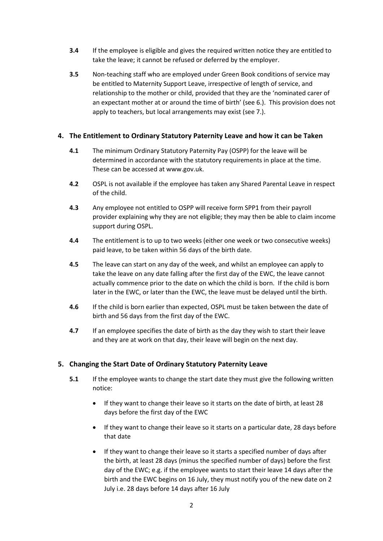- **3.4** If the employee is eligible and gives the required written notice they are entitled to take the leave; it cannot be refused or deferred by the employer.
- **3.5** Non-teaching staff who are employed under Green Book conditions of service may be entitled to Maternity Support Leave, irrespective of length of service, and relationship to the mother or child, provided that they are the 'nominated carer of an expectant mother at or around the time of birth' (see 6.). This provision does not apply to teachers, but local arrangements may exist (see 7.).

#### **4. The Entitlement to Ordinary Statutory Paternity Leave and how it can be Taken**

- **4.1** The minimum Ordinary Statutory Paternity Pay (OSPP) for the leave will be determined in accordance with the statutory requirements in place at the time. These can be accessed at www.gov.uk.
- **4.2** OSPL is not available if the employee has taken any Shared Parental Leave in respect of the child.
- **4.3** Any employee not entitled to OSPP will receive form SPP1 from their payroll provider explaining why they are not eligible; they may then be able to claim income support during OSPL.
- **4.4** The entitlement is to up to two weeks (either one week or two consecutive weeks) paid leave, to be taken within 56 days of the birth date.
- **4.5** The leave can start on any day of the week, and whilst an employee can apply to take the leave on any date falling after the first day of the EWC, the leave cannot actually commence prior to the date on which the child is born. If the child is born later in the EWC, or later than the EWC, the leave must be delayed until the birth.
- **4.6** If the child is born earlier than expected, OSPL must be taken between the date of birth and 56 days from the first day of the EWC.
- **4.7** If an employee specifies the date of birth as the day they wish to start their leave and they are at work on that day, their leave will begin on the next day.

#### **5. Changing the Start Date of Ordinary Statutory Paternity Leave**

- **5.1** If the employee wants to change the start date they must give the following written notice:
	- If they want to change their leave so it starts on the date of birth, at least 28 days before the first day of the EWC
	- If they want to change their leave so it starts on a particular date, 28 days before that date
	- If they want to change their leave so it starts a specified number of days after the birth, at least 28 days (minus the specified number of days) before the first day of the EWC; e.g. if the employee wants to start their leave 14 days after the birth and the EWC begins on 16 July, they must notify you of the new date on 2 July i.e. 28 days before 14 days after 16 July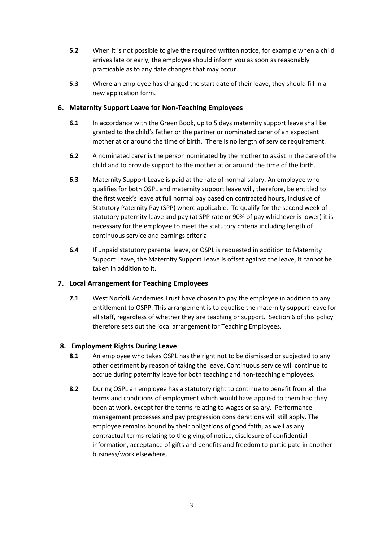- **5.2** When it is not possible to give the required written notice, for example when a child arrives late or early, the employee should inform you as soon as reasonably practicable as to any date changes that may occur.
- **5.3** Where an employee has changed the start date of their leave, they should fill in a new application form.

#### **6. Maternity Support Leave for Non-Teaching Employees**

- **6.1** In accordance with the Green Book, up to 5 days maternity support leave shall be granted to the child's father or the partner or nominated carer of an expectant mother at or around the time of birth. There is no length of service requirement.
- **6.2** A nominated carer is the person nominated by the mother to assist in the care of the child and to provide support to the mother at or around the time of the birth.
- **6.3** Maternity Support Leave is paid at the rate of normal salary. An employee who qualifies for both OSPL and maternity support leave will, therefore, be entitled to the first week's leave at full normal pay based on contracted hours, inclusive of Statutory Paternity Pay (SPP) where applicable. To qualify for the second week of statutory paternity leave and pay (at SPP rate or 90% of pay whichever is lower) it is necessary for the employee to meet the statutory criteria including length of continuous service and earnings criteria.
- **6.4** If unpaid statutory parental leave, or OSPL is requested in addition to Maternity Support Leave, the Maternity Support Leave is offset against the leave, it cannot be taken in addition to it.

# **7. Local Arrangement for Teaching Employees**

**7.1** West Norfolk Academies Trust have chosen to pay the employee in addition to any entitlement to OSPP. This arrangement is to equalise the maternity support leave for all staff, regardless of whether they are teaching or support. Section 6 of this policy therefore sets out the local arrangement for Teaching Employees.

#### **8. Employment Rights During Leave**

- **8.1** An employee who takes OSPL has the right not to be dismissed or subjected to any other detriment by reason of taking the leave. Continuous service will continue to accrue during paternity leave for both teaching and non-teaching employees.
- **8.2** During OSPL an employee has a statutory right to continue to benefit from all the terms and conditions of employment which would have applied to them had they been at work, except for the terms relating to wages or salary. Performance management processes and pay progression considerations will still apply. The employee remains bound by their obligations of good faith, as well as any contractual terms relating to the giving of notice, disclosure of confidential information, acceptance of gifts and benefits and freedom to participate in another business/work elsewhere.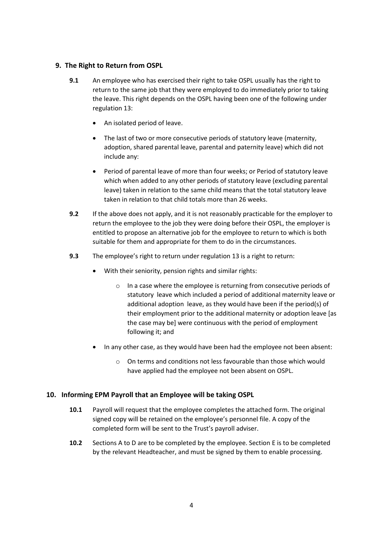#### **9. The Right to Return from OSPL**

- **9.1** An employee who has exercised their right to take OSPL usually has the right to return to the same job that they were employed to do immediately prior to taking the leave. This right depends on the OSPL having been one of the following under regulation 13:
	- An isolated period of leave.
	- The last of two or more consecutive periods of statutory leave (maternity, adoption, shared parental leave, parental and paternity leave) which did not include any:
	- Period of parental leave of more than four weeks; or Period of statutory leave which when added to any other periods of statutory leave (excluding parental leave) taken in relation to the same child means that the total statutory leave taken in relation to that child totals more than 26 weeks.
- **9.2** If the above does not apply, and it is not reasonably practicable for the employer to return the employee to the job they were doing before their OSPL, the employer is entitled to propose an alternative job for the employee to return to which is both suitable for them and appropriate for them to do in the circumstances.
- **9.3** The employee's right to return under regulation 13 is a right to return:
	- With their seniority, pension rights and similar rights:
		- o In a case where the employee is returning from consecutive periods of statutory leave which included a period of additional maternity leave or additional adoption leave, as they would have been if the period(s) of their employment prior to the additional maternity or adoption leave [as the case may be] were continuous with the period of employment following it; and
	- In any other case, as they would have been had the employee not been absent:
		- o On terms and conditions not less favourable than those which would have applied had the employee not been absent on OSPL.

# **10. Informing EPM Payroll that an Employee will be taking OSPL**

- **10.1** Payroll will request that the employee completes the attached form. The original signed copy will be retained on the employee's personnel file. A copy of the completed form will be sent to the Trust's payroll adviser.
- **10.2** Sections A to D are to be completed by the employee. Section E is to be completed by the relevant Headteacher, and must be signed by them to enable processing.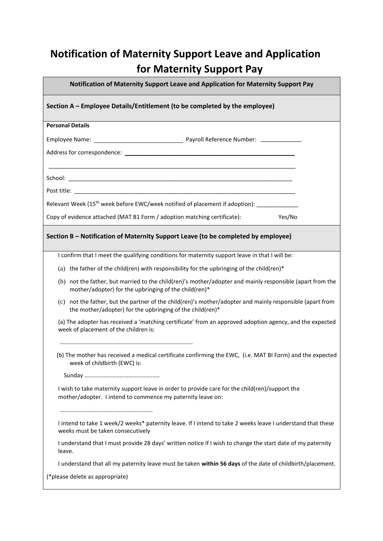# **Notification of Maternity Support Leave and Application for Maternity Support Pay**

|                                                                            | Notification of Maternity Support Leave and Application for Maternity Support Pay                                                                                      |  |        |  |  |  |
|----------------------------------------------------------------------------|------------------------------------------------------------------------------------------------------------------------------------------------------------------------|--|--------|--|--|--|
| Section A - Employee Details/Entitlement (to be completed by the employee) |                                                                                                                                                                        |  |        |  |  |  |
|                                                                            | <b>Personal Details</b>                                                                                                                                                |  |        |  |  |  |
|                                                                            |                                                                                                                                                                        |  |        |  |  |  |
|                                                                            |                                                                                                                                                                        |  |        |  |  |  |
|                                                                            |                                                                                                                                                                        |  |        |  |  |  |
|                                                                            |                                                                                                                                                                        |  |        |  |  |  |
|                                                                            | Relevant Week (15 <sup>th</sup> week before EWC/week notified of placement if adoption): _____________________                                                         |  |        |  |  |  |
|                                                                            | Copy of evidence attached (MAT B1 Form / adoption matching certificate):                                                                                               |  | Yes/No |  |  |  |
|                                                                            | Section B - Notification of Maternity Support Leave (to be completed by employee)                                                                                      |  |        |  |  |  |
|                                                                            | I confirm that I meet the qualifying conditions for maternity support leave in that I will be:                                                                         |  |        |  |  |  |
|                                                                            | (a) the father of the child(ren) with responsibility for the upbringing of the child(ren)*                                                                             |  |        |  |  |  |
|                                                                            | (b) not the father, but married to the child(ren)'s mother/adopter and mainly responsible (apart from the<br>mother/adopter) for the upbringing of the child(ren)*     |  |        |  |  |  |
|                                                                            | (c) not the father, but the partner of the child(ren)'s mother/adopter and mainly responsible (apart from<br>the mother/adopter) for the upbringing of the child(ren)* |  |        |  |  |  |
|                                                                            | (a) The adopter has received a 'matching certificate' from an approved adoption agency, and the expected<br>week of placement of the children is:                      |  |        |  |  |  |
|                                                                            |                                                                                                                                                                        |  |        |  |  |  |
|                                                                            | (b) The mother has received a medical certificate confirming the EWC, (i.e. MAT BI Form) and the expected<br>week of childbirth (EWC) is:                              |  |        |  |  |  |
|                                                                            |                                                                                                                                                                        |  |        |  |  |  |
|                                                                            | I wish to take maternity support leave in order to provide care for the child(ren)/support the<br>mother/adopter. I intend to commence my paternity leave on:          |  |        |  |  |  |
|                                                                            |                                                                                                                                                                        |  |        |  |  |  |
|                                                                            | I intend to take 1 week/2 weeks* paternity leave. If I intend to take 2 weeks leave I understand that these<br>weeks must be taken consecutively                       |  |        |  |  |  |
| leave.                                                                     | I understand that I must provide 28 days' written notice if I wish to change the start date of my paternity                                                            |  |        |  |  |  |
|                                                                            | I understand that all my paternity leave must be taken within 56 days of the date of childbirth/placement.                                                             |  |        |  |  |  |